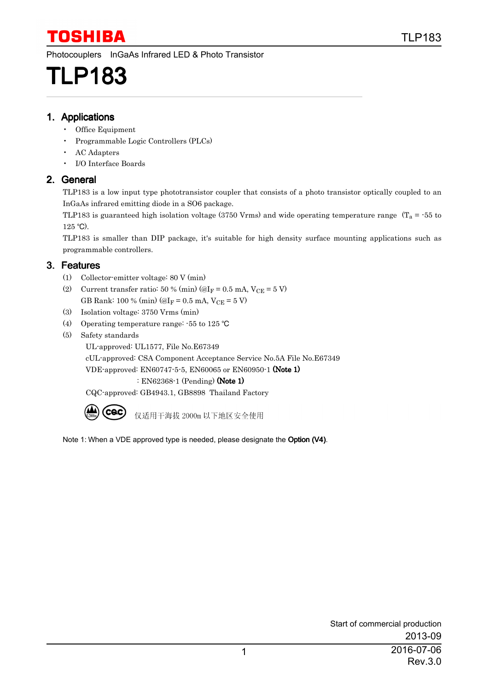Photocouplers InGaAs Infrared LED & Photo Transistor

# TLP183

#### 1. Applications

- Office Equipment
- Programmable Logic Controllers (PLCs)
- AC Adapters
- I/O Interface Boards

### 2. General

TLP183 is a low input type phototransistor coupler that consists of a photo transistor optically coupled to an InGaAs infrared emitting diode in a SO6 package.

TLP183 is guaranteed high isolation voltage (3750 Vrms) and wide operating temperature range ( $T_a$  = -55 to  $125$  °C).

TLP183 is smaller than DIP package, it's suitable for high density surface mounting applications such as programmable controllers.

### 3. Features

- (1) Collector-emitter voltage: 80 V (min)
- (2) Current transfer ratio: 50 % (min) ( $@I_F = 0.5$  mA,  $V_{CE} = 5$  V) GB Rank: 100 % (min) ( $@I_F = 0.5$  mA,  $V_{CE} = 5$  V)
- (3) Isolation voltage: 3750 Vrms (min)
- (4) Operating temperature range:  $-55$  to 125 °C
- (5) Safety standards

UL-approved: UL1577, File No.E67349

cUL-approved: CSA Component Acceptance Service No.5A File No.E67349

VDE-approved: EN60747-5-5, EN60065 or EN60950-1 (Note 1)

: EN62368-1 (Pending) (Note 1)

CQC-approved: GB4943.1, GB8898 Thailand Factory



仅适用干海拔 2000m 以下地区安全使用

Note 1: When a VDE approved type is needed, please designate the Option (V4).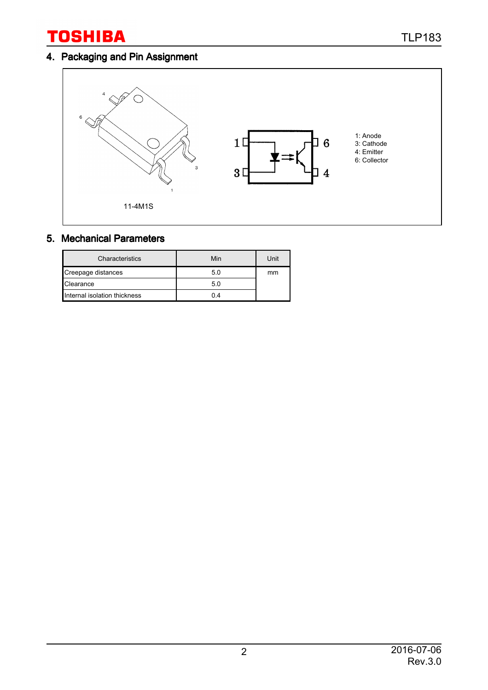## 4. Packaging and Pin Assignment



#### 5. Mechanical Parameters

| Characteristics              | Min | Unit |
|------------------------------|-----|------|
| Creepage distances           | 5.0 | mm   |
| Clearance                    | 5.0 |      |
| Internal isolation thickness | 04  |      |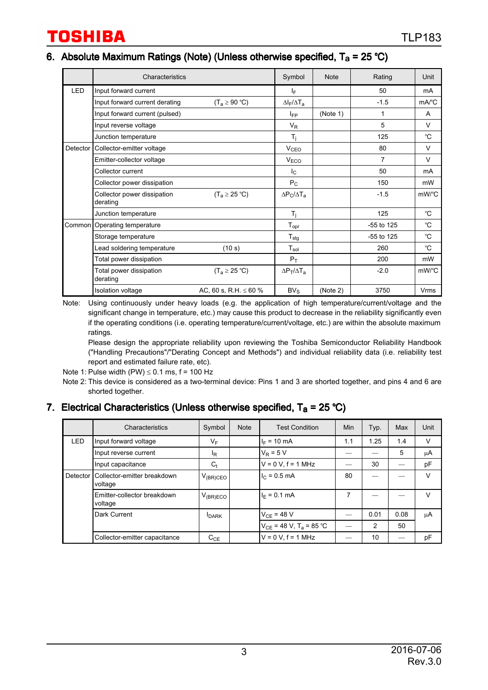#### 6. Absolute Maximum Ratings (Note) (Unless otherwise specified,  $T_a = 25 \degree C$ )

|            | Characteristics                         |                            | Symbol                       | <b>Note</b> | Rating       | Unit                |
|------------|-----------------------------------------|----------------------------|------------------------------|-------------|--------------|---------------------|
| <b>LED</b> | Input forward current                   |                            | IF.                          |             | 50           | mA                  |
|            | Input forward current derating          | $(T_a \ge 90 °C)$          | $\Delta I_F/\Delta T_a$      |             | $-1.5$       | $mA$ <sup>°</sup> C |
|            | Input forward current (pulsed)          |                            | $I_{FP}$                     | (Note 1)    | 1            | A                   |
|            | Input reverse voltage                   |                            | $\mathsf{V}_\mathsf{R}$      |             | 5            | $\vee$              |
|            | Junction temperature                    |                            | $T_i$                        |             | 125          | °C                  |
| Detector   | Collector-emitter voltage               |                            | V <sub>CEO</sub>             |             | 80           | $\vee$              |
|            | Emitter-collector voltage               |                            | V <sub>ECO</sub>             |             | 7            | $\vee$              |
|            | Collector current                       |                            | $I_{\rm C}$                  |             | 50           | mA                  |
|            | Collector power dissipation             |                            | $P_C$                        |             | 150          | mW                  |
|            | Collector power dissipation<br>derating | $(T_a \geq 25 \degree C)$  | $\Delta P_C/\Delta T_a$      |             | $-1.5$       | mW/°C               |
|            | Junction temperature                    |                            | $T_i$                        |             | 125          | $^{\circ}C$         |
|            | Common   Operating temperature          |                            | ${\mathsf T}_{\mathsf{opr}}$ |             | $-55$ to 125 | °C                  |
|            | Storage temperature                     |                            | ${\sf T}_{\sf stg}$          |             | -55 to 125   | °C                  |
|            | Lead soldering temperature              | (10 s)                     | $\mathsf{T}_{\mathsf{sol}}$  |             | 260          | °C                  |
|            | Total power dissipation                 |                            | $P_T$                        |             | 200          | mW                  |
|            | Total power dissipation<br>derating     | $(T_a \geq 25 \degree C)$  | $\Delta P_T/\Delta T_A$      |             | $-2.0$       | mW/°C               |
|            | <b>Isolation voltage</b>                | AC, 60 s, R.H. $\leq 60$ % | $BV_S$                       | (Note 2)    | 3750         | Vrms                |

Note: Using continuously under heavy loads (e.g. the application of high temperature/current/voltage and the significant change in temperature, etc.) may cause this product to decrease in the reliability significantly even if the operating conditions (i.e. operating temperature/current/voltage, etc.) are within the absolute maximum ratings.

Please design the appropriate reliability upon reviewing the Toshiba Semiconductor Reliability Handbook ("Handling Precautions"/"Derating Concept and Methods") and individual reliability data (i.e. reliability test report and estimated failure rate, etc).

- Note 1: Pulse width  $(PW) \le 0.1$  ms,  $f = 100$  Hz
- Note 2: This device is considered as a two-terminal device: Pins 1 and 3 are shorted together, and pins 4 and 6 are shorted together.

#### 7. Electrical Characteristics (Unless otherwise specified,  $T_a = 25 \degree C$ )

|            | Characteristics                        | Symbol         | <b>Note</b> | <b>Test Condition</b>                   | Min | Typ. | Max  | Unit   |
|------------|----------------------------------------|----------------|-------------|-----------------------------------------|-----|------|------|--------|
| <b>LED</b> | Input forward voltage                  | VF             |             | $I_F = 10 \text{ mA}$                   | 1.1 | 1.25 | 1.4  | $\vee$ |
|            | Input reverse current                  | <sup>I</sup> R |             | $V_R = 5 V$                             |     |      | 5    | μA     |
|            | Input capacitance                      | $C_t$          |             | $V = 0 V$ , $f = 1 MHz$                 |     | 30   |      | pF     |
| Detector   | Collector-emitter breakdown<br>voltage | $V_{(BR)CEO}$  |             | $Ic = 0.5$ mA                           | 80  |      |      | $\vee$ |
|            | Emitter-collector breakdown<br>voltage | $V_{(BR)ECO}$  |             | $I_F = 0.1$ mA                          | 7   |      |      | V      |
|            | Dark Current                           | <b>I</b> DARK  |             | $V_{CF}$ = 48 V                         |     | 0.01 | 0.08 | μA     |
|            |                                        |                |             | $V_{CE}$ = 48 V, T <sub>a</sub> = 85 °C |     | 2    | 50   |        |
|            | Collector-emitter capacitance          | $C_{CE}$       |             | $V = 0 V$ , $f = 1 MHz$                 |     | 10   |      | рF     |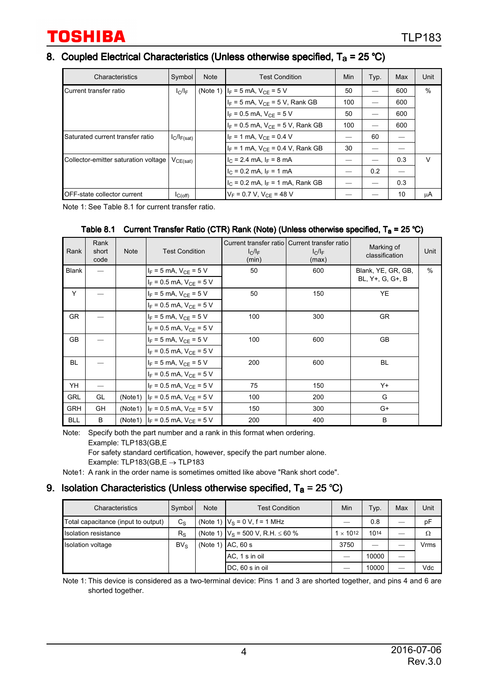#### 8. Coupled Electrical Characteristics (Unless otherwise specified,  $T_a = 25 \degree C$ )

| Characteristics                      | Symbol           | <b>Note</b> | <b>Test Condition</b>                   | Min | Typ. | Max | Unit   |
|--------------------------------------|------------------|-------------|-----------------------------------------|-----|------|-----|--------|
| Current transfer ratio               | $I_C/I_F$        |             | (Note 1) $ I_F = 5$ mA, $V_{CE} = 5$ V  | 50  |      | 600 | %      |
|                                      |                  |             | $I_F$ = 5 mA, $V_{CF}$ = 5 V, Rank GB   | 100 |      | 600 |        |
|                                      |                  |             | $I_F = 0.5$ mA, $V_{CF} = 5$ V          | 50  |      | 600 |        |
|                                      |                  |             | $I_F = 0.5$ mA, $V_{CF} = 5$ V, Rank GB | 100 |      | 600 |        |
| Saturated current transfer ratio     | $I_C/I_{F(sat)}$ |             | $I_F = 1$ mA, $V_{CF} = 0.4$ V          |     | 60   |     |        |
|                                      |                  |             | $I_F = 1$ mA, $V_{CF} = 0.4$ V, Rank GB | 30  |      |     |        |
| Collector-emitter saturation voltage | $V_{CE(sat)}$    |             | $I_C = 2.4$ mA, $I_F = 8$ mA            |     |      | 0.3 | $\vee$ |
|                                      |                  |             | $I_C = 0.2$ mA, $I_F = 1$ mA            |     | 0.2  |     |        |
|                                      |                  |             | $I_C = 0.2$ mA, $I_F = 1$ mA, Rank GB   |     |      | 0.3 |        |
| <b>IOFF-state collector current</b>  | IC(off)          |             | $V_F = 0.7 V$ , $V_{CF} = 48 V$         |     |      | 10  | μA     |

Note 1: See Table 8.1 for current transfer ratio.

#### Table 8.1 Current Transfer Ratio (CTR) Rank (Note) (Unless otherwise specified,  $T_a = 25 \degree C$ )

| Rank         | Rank<br>short<br>code | <b>Note</b> | <b>Test Condition</b>                    | $I_C/I_F$<br>(min) | Current transfer ratio   Current transfer ratio<br>$I_C/I_F$<br>(max) | Marking of<br>classification | Unit |
|--------------|-----------------------|-------------|------------------------------------------|--------------------|-----------------------------------------------------------------------|------------------------------|------|
| <b>Blank</b> |                       |             | $I_F = 5$ mA, $V_{CE} = 5$ V             | 50                 | 600                                                                   | Blank, YE, GR, GB,           | $\%$ |
|              |                       |             | $I_F = 0.5$ mA, $V_{CE} = 5$ V           |                    |                                                                       | BL, Y+, G, G+, B             |      |
| Y            |                       |             | $I_F = 5$ mA, $V_{CE} = 5$ V             | 50                 | 150                                                                   | <b>YE</b>                    |      |
|              |                       |             | $I_F = 0.5$ mA, $V_{CE} = 5$ V           |                    |                                                                       |                              |      |
| <b>GR</b>    |                       |             | $I_F = 5$ mA, $V_{CE} = 5$ V             | 100                | 300                                                                   | <b>GR</b>                    |      |
|              |                       |             | $I_F = 0.5$ mA, $V_{CE} = 5$ V           |                    |                                                                       |                              |      |
| <b>GB</b>    |                       |             | $I_F = 5$ mA, $V_{CF} = 5$ V             | 100                | 600                                                                   | GB                           |      |
|              |                       |             | $I_F = 0.5$ mA, $V_{CF} = 5$ V           |                    |                                                                       |                              |      |
| <b>BL</b>    |                       |             | $I_F = 5$ mA, $V_{CF} = 5$ V             | 200                | 600                                                                   | BL                           |      |
|              |                       |             | $I_F = 0.5$ mA, $V_{CE} = 5$ V           |                    |                                                                       |                              |      |
| YH           |                       |             | $I_F = 0.5$ mA, $V_{CE} = 5$ V           | 75                 | 150                                                                   | $Y +$                        |      |
| <b>GRL</b>   | GL                    |             | (Note 1) $ I_F = 0.5$ mA, $V_{CE} = 5$ V | 100                | 200                                                                   | G                            |      |
| <b>GRH</b>   | GH                    |             | (Note 1) $I_F = 0.5$ mA, $V_{CF} = 5$ V  | 150                | 300                                                                   | $G+$                         |      |
| <b>BLL</b>   | B                     |             | (Note 1) $ I_F = 0.5$ mA, $V_{CF} = 5$ V | 200                | 400                                                                   | B                            |      |

Note: Specify both the part number and a rank in this format when ordering. Example: TLP183(GB,E For safety standard certification, however, specify the part number alone. Example: TLP183(GB,E → TLP183

Note1: A rank in the order name is sometimes omitted like above "Rank short code".

#### 9. Isolation Characteristics (Unless otherwise specified,  $T_a = 25 \degree C$ )

| Characteristics                     | Symbol          | <b>Note</b> | <b>Test Condition</b>                                             | Min | Typ.  | Max | Unit |
|-------------------------------------|-----------------|-------------|-------------------------------------------------------------------|-----|-------|-----|------|
| Total capacitance (input to output) | $C_{\rm S}$     |             | (Note 1) $ V_S = 0 V$ , f = 1 MHz                                 |     | 0.8   |     | рF   |
| Isolation resistance                | $R_{\rm S}$     |             | (Note 1) $ V_S = 500 V$ , R.H. $\leq 60 \%$<br>$1 \times 10^{12}$ |     | 1014  |     | Ω    |
| Isolation voltage                   | BV <sub>S</sub> |             | (Note 1) $ AC, 60$ s                                              |     |       |     | Vrms |
|                                     |                 |             | AC, 1 s in oil                                                    |     | 10000 |     |      |
|                                     |                 |             | DC, 60 s in oil                                                   |     | 10000 |     | Vdc  |

Note 1: This device is considered as a two-terminal device: Pins 1 and 3 are shorted together, and pins 4 and 6 are shorted together.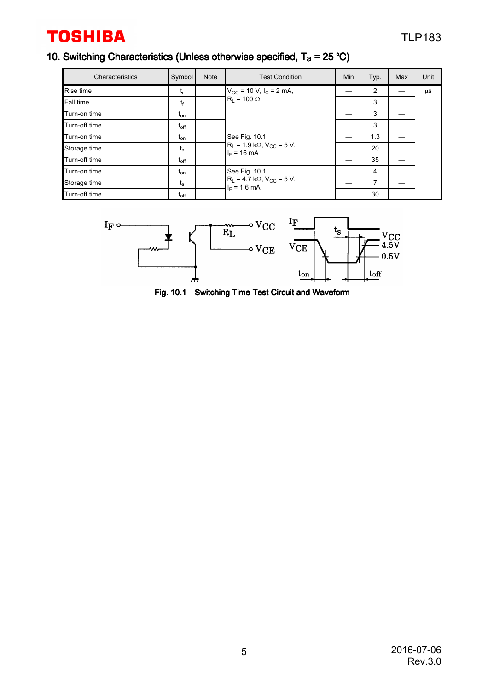## 10. Switching Characteristics (Unless otherwise specified,  $T_a = 25 \degree C$ )

| Characteristics  | Symbol        | <b>Note</b> | <b>Test Condition</b>                                                     | Min | Typ. | Max | Unit    |
|------------------|---------------|-------------|---------------------------------------------------------------------------|-----|------|-----|---------|
| <b>Rise time</b> | t,            |             | $V_{CC}$ = 10 V, I <sub>C</sub> = 2 mA,                                   |     | 2    |     | $\mu$ S |
| Fall time        | $t_f$         |             | $R_1 = 100 \Omega$                                                        |     | 3    |     |         |
| Turn-on time     | $t_{on}$      |             |                                                                           |     | 3    |     |         |
| Turn-off time    | $t_{\rm off}$ |             |                                                                           |     | 3    |     |         |
| Turn-on time     | $t_{on}$      |             | See Fig. 10.1                                                             |     | 1.3  |     |         |
| Storage time     | $t_{\rm s}$   |             | $R_L$ = 1.9 kΩ, V <sub>CC</sub> = 5 V,<br>$I_F = 16 \text{ mA}$           | _   | 20   |     |         |
| Turn-off time    | $t_{\rm off}$ |             |                                                                           |     | 35   |     |         |
| Turn-on time     | $t_{on}$      |             | See Fig. 10.1<br>$R_1 = 4.7 k\Omega$ , $V_{CC} = 5 V$ ,<br>$I_F = 1.6$ mA | --  | 4    |     |         |
| Storage time     | $t_{\rm s}$   |             |                                                                           |     | 7    |     |         |
| Turn-off time    | $\rm t_{off}$ |             |                                                                           |     | 30   |     |         |



Fig. 10.1 Switching Time Test Circuit and Waveform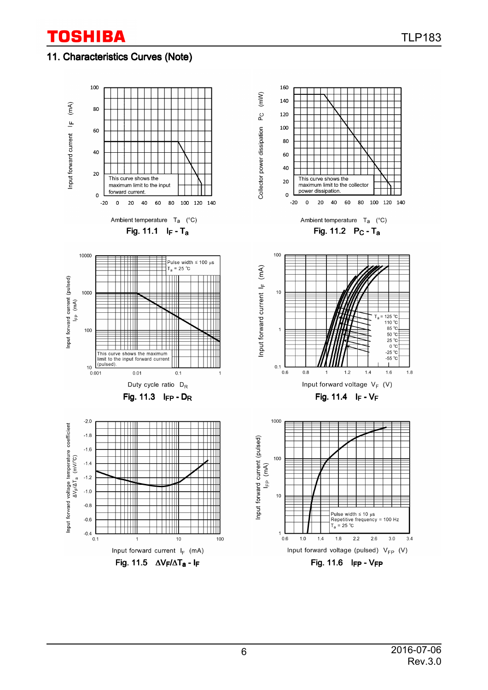### 11. Characteristics Curves (Note)

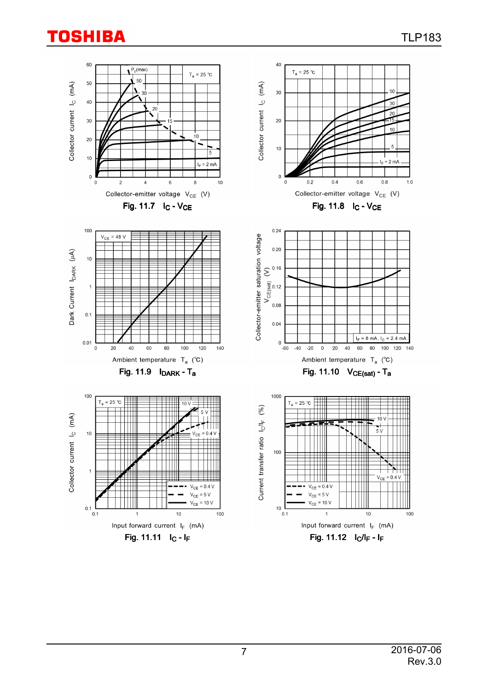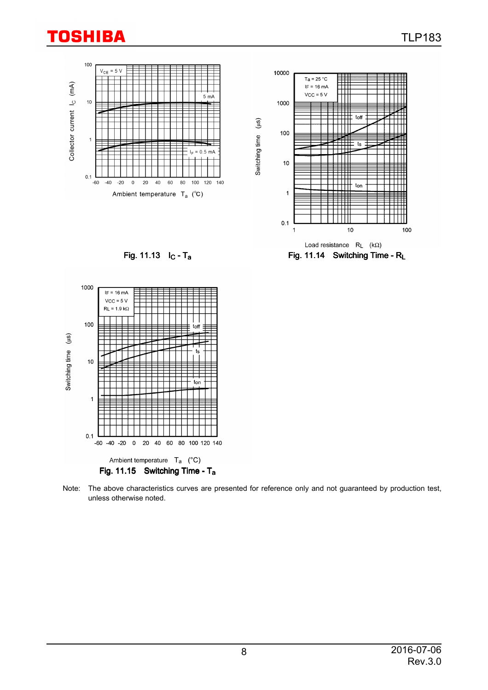



Fig. 11.15 Switching Time - Ta

Ambient temperature T<sub>a</sub> (°C)

80 100 120 140

20 40 60

 $\pmb{0}$ 

 $-60 - 40 - 20$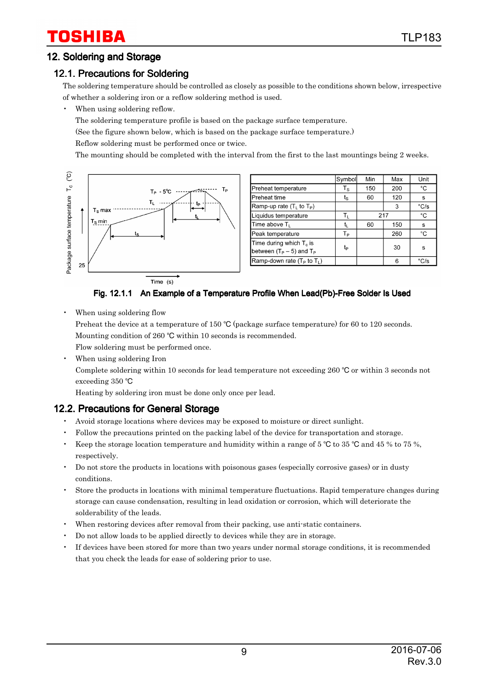## 12. Soldering and Storage

# 12.1. Precautions for Soldering

The soldering temperature should be controlled as closely as possible to the conditions shown below, irrespective of whether a soldering iron or a reflow soldering method is used.

When using soldering reflow.

The soldering temperature profile is based on the package surface temperature.

(See the figure shown below, which is based on the package surface temperature.)

Reflow soldering must be performed once or twice.

The mounting should be completed with the interval from the first to the last mountings being 2 weeks.



|                                                             | Symbol                                          | Min | Max | Unit                   |
|-------------------------------------------------------------|-------------------------------------------------|-----|-----|------------------------|
| Preheat temperature                                         | $T_{\scriptscriptstyle{\mathbf{S}}}$            | 150 | 200 | °С                     |
| Preheat time                                                | $\mathfrak{t}_{\scriptscriptstyle{\mathbf{S}}}$ | 60  | 120 | s                      |
| Ramp-up rate $(TL$ to $TP)$                                 |                                                 |     | 3   | $\mathrm{^{\circ}C/s}$ |
| Liquidus temperature                                        | Tı.                                             | 217 |     | °C                     |
| Time above T <sub>L</sub>                                   | t,                                              | 60  | 150 | s                      |
| Peak temperature                                            | Tр                                              |     | 260 | °C                     |
| Time during which $T_c$ is<br>between $(T_P - 5)$ and $T_P$ | tp                                              |     | 30  | s                      |
| Ramp-down rate $(T_P$ to $T_L$ )                            |                                                 |     | 6   | $\mathrm{^{\circ}C/s}$ |

Fig. 12.1.1 An Example of a Temperature Profile When Lead(Pb)-Free Solder Is Used

When using soldering flow

Preheat the device at a temperature of 150  $\degree$ C (package surface temperature) for 60 to 120 seconds. Mounting condition of 260 °C within 10 seconds is recommended.

Flow soldering must be performed once.

When using soldering Iron

Complete soldering within 10 seconds for lead temperature not exceeding 260  $\degree$ C or within 3 seconds not exceeding 350 °C

Heating by soldering iron must be done only once per lead.

### 12.2. Precautions for General Storage

- Avoid storage locations where devices may be exposed to moisture or direct sunlight.
- Follow the precautions printed on the packing label of the device for transportation and storage.
- Keep the storage location temperature and humidity within a range of 5  $\degree$ C to 35  $\degree$ C and 45 % to 75 %, respectively.
- Do not store the products in locations with poisonous gases (especially corrosive gases) or in dusty conditions.
- Store the products in locations with minimal temperature fluctuations. Rapid temperature changes during storage can cause condensation, resulting in lead oxidation or corrosion, which will deteriorate the solderability of the leads.
- When restoring devices after removal from their packing, use anti-static containers.
- Do not allow loads to be applied directly to devices while they are in storage.
- If devices have been stored for more than two years under normal storage conditions, it is recommended that you check the leads for ease of soldering prior to use.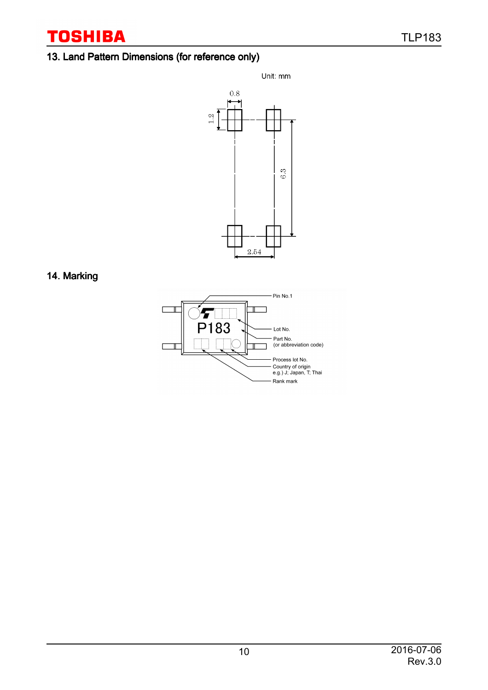## 13. Land Pattern Dimensions (for reference only)



### 14. Marking

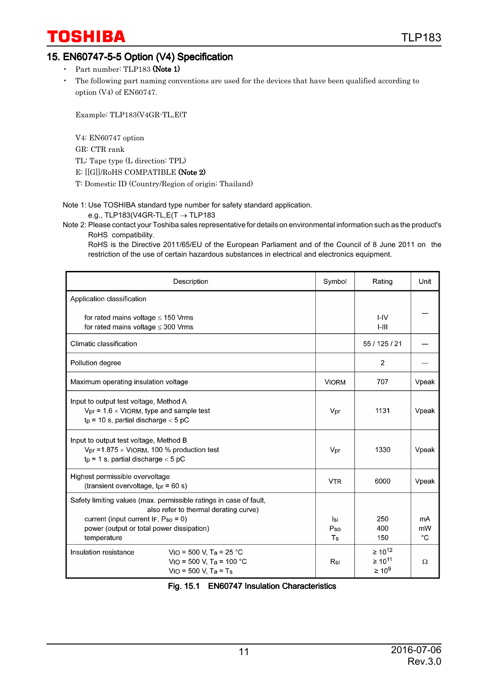### 15. EN60747-5-5 Option (V4) Specification

- Part number: TLP183 (Note 1)
- The following part naming conventions are used for the devices that have been qualified according to option (V4) of EN60747.

Example: TLP183(V4GR-TL,E(T

V4: EN60747 option

GR: CTR rank

TL: Tape type (L direction: TPL)

E: [[G]]/RoHS COMPATIBLE (Note 2)

T: Domestic ID (Country/Region of origin: Thailand)

Note 1: Use TOSHIBA standard type number for safety standard application.

#### e.g., TLP183(V4GR-TL, $E(T \rightarrow TLP183$

Note 2: Please contact your Toshiba sales representative for details on environmental information such as the product's RoHS compatibility.

RoHS is the Directive 2011/65/EU of the European Parliament and of the Council of 8 June 2011 on the restriction of the use of certain hazardous substances in electrical and electronics equipment.

| Description                                                                                                                                                                                                       | Symbol                    | Rating                                          | Unit                    |
|-------------------------------------------------------------------------------------------------------------------------------------------------------------------------------------------------------------------|---------------------------|-------------------------------------------------|-------------------------|
| Application classification                                                                                                                                                                                        |                           |                                                 |                         |
| for rated mains voltage $\leq$ 150 Vrms<br>for rated mains voltage $\leq$ 300 Vrms                                                                                                                                |                           | I-IV<br>$1 - 111$                               |                         |
| Climatic classification                                                                                                                                                                                           |                           | 55 / 125 / 21                                   |                         |
| Pollution degree                                                                                                                                                                                                  |                           | $\overline{2}$                                  |                         |
| Maximum operating insulation voltage                                                                                                                                                                              | <b>VIORM</b>              | 707                                             | Vpeak                   |
| Input to output test voltage, Method A<br>$V_{pr}$ = 1.6 $\times$ VIORM, type and sample test<br>$tp = 10$ s, partial discharge $< 5$ pC                                                                          | Vpr                       | 1131                                            | Vpeak                   |
| Input to output test voltage, Method B<br>$Vpr = 1.875 \times V$ IORM, 100 % production test<br>$tp = 1$ s, partial discharge $< 5$ pC                                                                            | Vpr                       | 1330                                            | Vpeak                   |
| Highest permissible overvoltage<br>(transient overvoltage, $tpr = 60 s$ )                                                                                                                                         | <b>V<sub>TR</sub></b>     | 6000                                            | Vpeak                   |
| Safety limiting values (max. permissible ratings in case of fault,<br>also refer to thermal derating curve)<br>current (input current $IF, Pso = 0$ )<br>power (output or total power dissipation)<br>temperature | İsi<br>Pso<br>$T_{\rm S}$ | 250<br>400<br>150                               | mA<br>mW<br>$^{\circ}C$ |
| $VIO = 500 V, Ta = 25 °C$<br>Insulation resistance<br>VIO = 500 V, Ta = 100 °C<br>$VIO = 500 V, Ta = Ts$                                                                                                          | Rsi                       | $\geq 10^{12}$<br>$\geq 10^{11}$<br>$\geq 10^9$ | Ω                       |

#### Fig. 15.1 EN60747 Insulation Characteristics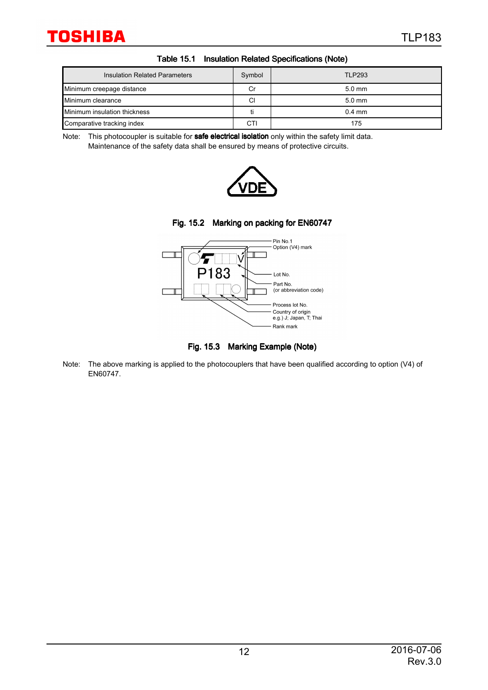| Insulation Related Parameters | Symbol | <b>TLP293</b> |
|-------------------------------|--------|---------------|
| Minimum creepage distance     | Сr     | $5.0$ mm      |
| Minimum clearance             | CI     | $5.0$ mm      |
| Minimum insulation thickness  |        | $0.4$ mm      |
| Comparative tracking index    | CTI    | 175           |

Note: This photocoupler is suitable for safe electrical isolation only within the safety limit data. Maintenance of the safety data shall be ensured by means of protective circuits.







Fig. 15.3 Marking Example (Note)

Note: The above marking is applied to the photocouplers that have been qualified according to option (V4) of EN60747.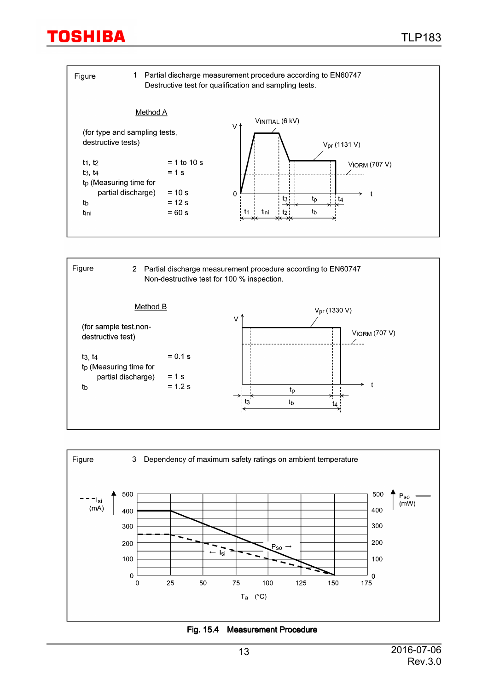| Figure                                              | 1             | Partial discharge measurement procedure according to EN60747<br>Destructive test for qualification and sampling tests. |
|-----------------------------------------------------|---------------|------------------------------------------------------------------------------------------------------------------------|
|                                                     | Method A      | VINITIAL (6 kV)                                                                                                        |
| (for type and sampling tests,<br>destructive tests) |               | ٧٨<br>$V_{pr}$ (1131 V)                                                                                                |
| $t_1, t_2$                                          | $= 1$ to 10 s | <b>VIORM (707 V)</b>                                                                                                   |
| t3, t4                                              | $= 1$ s       |                                                                                                                        |
| t <sub>p</sub> (Measuring time for                  |               |                                                                                                                        |
| partial discharge)                                  | $= 10 s$      | $\overline{0}$                                                                                                         |
| tb                                                  | $= 12$ s      | $t_3$ :<br>$t_{\rm D}$<br>t4<br>≁                                                                                      |
| tini                                                | $= 60 s$      | tb<br>t1<br>tini<br>t2 :                                                                                               |





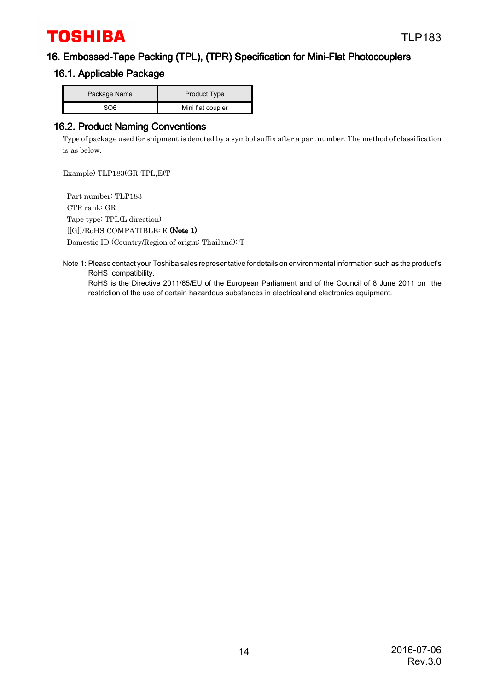#### 16. Embossed-Tape Packing (TPL), (TPR) Specification for Mini-Flat Photocouplers

#### 16.1. Applicable Package

| Package Name | <b>Product Type</b> |  |
|--------------|---------------------|--|
| ടറഭ          | Mini flat coupler   |  |

#### 16.2. Product Naming Conventions

Type of package used for shipment is denoted by a symbol suffix after a part number. The method of classification is as below.

Example) TLP183(GR-TPL,E(T

 Part number: TLP183 CTR rank: GR Tape type: TPL(L direction) [[G]]/RoHS COMPATIBLE: E (Note 1) Domestic ID (Country/Region of origin: Thailand): T

Note 1: Please contact your Toshiba sales representative for details on environmental information such as the product's RoHS compatibility.

RoHS is the Directive 2011/65/EU of the European Parliament and of the Council of 8 June 2011 on the restriction of the use of certain hazardous substances in electrical and electronics equipment.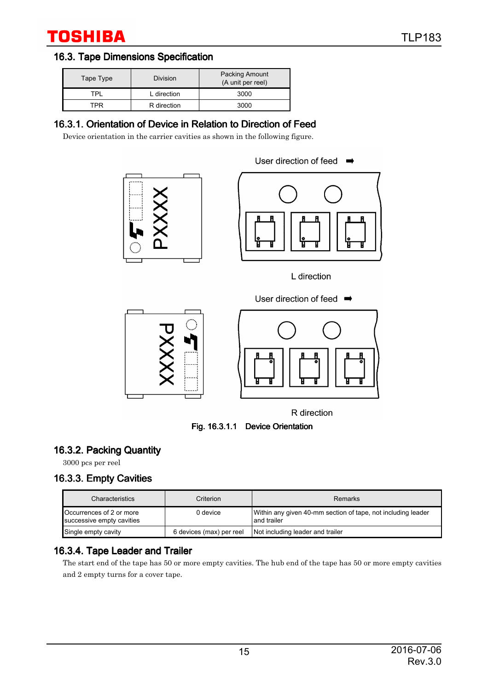### 16.3. Tape Dimensions Specification

| Tape Type | <b>Division</b> | <b>Packing Amount</b><br>(A unit per reel) |
|-----------|-----------------|--------------------------------------------|
| TPı       | L direction     | 3000                                       |
| TPR       | R direction     | 3000                                       |

# 16.3.1. Orientation of Device in Relation to Direction of Feed

Device orientation in the carrier cavities as shown in the following figure.



User direction of feed  $\rightarrow$ 

L direction





R direction

Fig. 16.3.1.1 Device Orientation

## 16.3.2. Packing Quantity

3000 pcs per reel

# 16.3.3. Empty Cavities

| Characteristics                                       | Criterion                | <b>Remarks</b>                                                              |
|-------------------------------------------------------|--------------------------|-----------------------------------------------------------------------------|
| Occurrences of 2 or more<br>successive empty cavities | 0 device.                | Within any given 40-mm section of tape, not including leader<br>and trailer |
| Single empty cavity                                   | 6 devices (max) per reel | Not including leader and trailer                                            |

## 16.3.4. Tape Leader and Trailer

The start end of the tape has 50 or more empty cavities. The hub end of the tape has 50 or more empty cavities and 2 empty turns for a cover tape.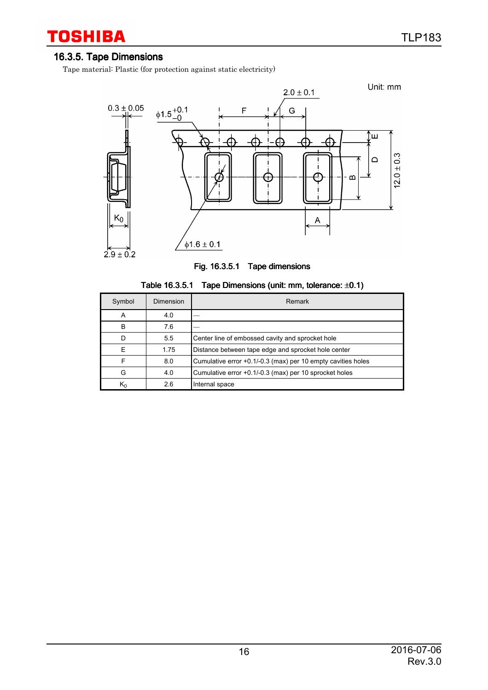### 16.3.5. Tape Dimensions

 $\mathsf{K}_0$ 

2.6

Internal space

Tape material: Plastic (for protection against static electricity)



| Fig. 16.3.5.1 Tape dimensions |  |
|-------------------------------|--|
|-------------------------------|--|

| Symbol | Dimension | Remark                                                       |
|--------|-----------|--------------------------------------------------------------|
| А      | 4.0       |                                                              |
| B      | 7.6       |                                                              |
|        | 5.5       | Center line of embossed cavity and sprocket hole             |
|        | 1.75      | Distance between tape edge and sprocket hole center          |
|        | 8.0       | Cumulative error +0.1/-0.3 (max) per 10 empty cavities holes |
| G      | 4.0       | Cumulative error +0.1/-0.3 (max) per 10 sprocket holes       |

| Table 16.3.5.1 | Tape Dimensions (unit: mm, tolerance: ±0.1) |  |  |  |
|----------------|---------------------------------------------|--|--|--|
|----------------|---------------------------------------------|--|--|--|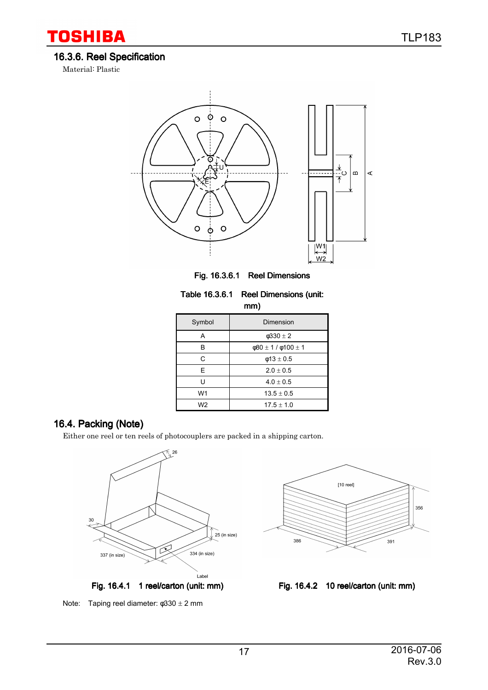# 16.3.6. Reel Specification

Material: Plastic

**TOSHIBA** 



Fig. 16.3.6.1 Reel Dimensions

| Table 16.3.6.1 Reel Dimensions (unit: |
|---------------------------------------|
| mm)                                   |

| ,              |                                |  |
|----------------|--------------------------------|--|
| Symbol         | Dimension                      |  |
| А              | $\phi$ 330 $\pm$ 2             |  |
| в              | $\phi$ 80 ± 1 / $\phi$ 100 ± 1 |  |
| C              | $\phi$ 13 ± 0.5                |  |
| E.             | $2.0 \pm 0.5$                  |  |
| י י            | $4.0 \pm 0.5$                  |  |
| W1             | $13.5 \pm 0.5$                 |  |
| W <sub>2</sub> | $17.5 \pm 1.0$                 |  |

## 16.4. Packing (Note)

Either one reel or ten reels of photocouplers are packed in a shipping carton.





Note: Taping reel diameter: φ330 ± 2 mm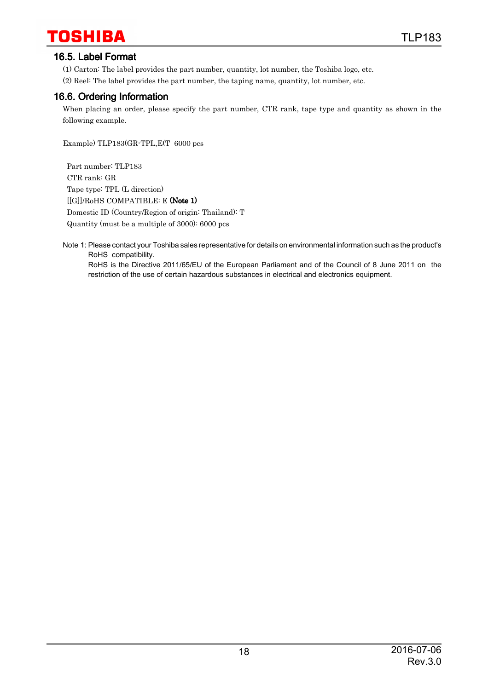#### 16.5. Label Format

(1) Carton: The label provides the part number, quantity, lot number, the Toshiba logo, etc.

(2) Reel: The label provides the part number, the taping name, quantity, lot number, etc.

#### 16.6. Ordering Information

When placing an order, please specify the part number, CTR rank, tape type and quantity as shown in the following example.

Example) TLP183(GR-TPL,E(T 6000 pcs

 Part number: TLP183 CTR rank: GR Tape type: TPL (L direction) [[G]]/RoHS COMPATIBLE: E (Note 1) Domestic ID (Country/Region of origin: Thailand): T Quantity (must be a multiple of 3000): 6000 pcs

Note 1: Please contact your Toshiba sales representative for details on environmental information such as the product's RoHS compatibility. RoHS is the Directive 2011/65/EU of the European Parliament and of the Council of 8 June 2011 on the restriction of the use of certain hazardous substances in electrical and electronics equipment.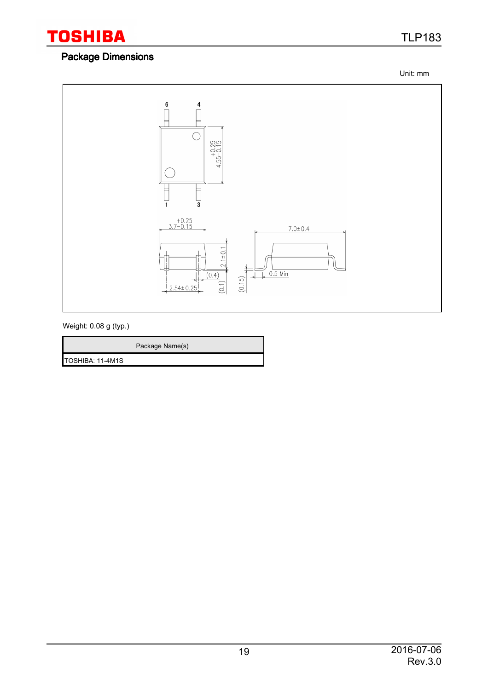

## Package Dimensions

TLP183

Unit: mm



Weight: 0.08 g (typ.)

Package Name(s)

TOSHIBA: 11-4M1S